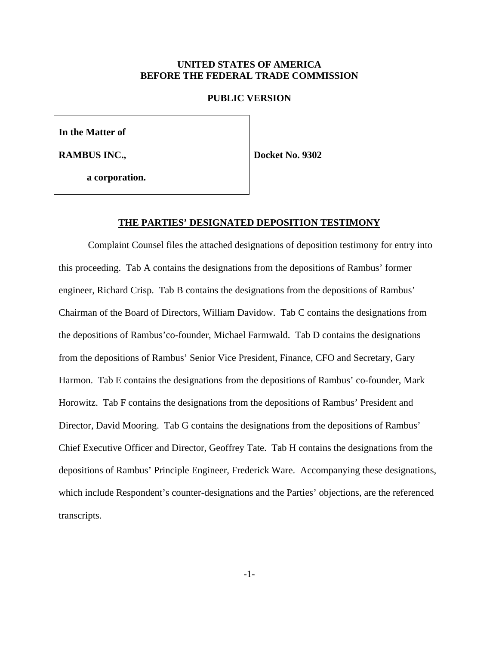### **UNITED STATES OF AMERICA BEFORE THE FEDERAL TRADE COMMISSION**

#### **PUBLIC VERSION**

**In the Matter of**

**RAMBUS INC.,**

**Docket No. 9302**

**a corporation.**

#### **THE PARTIES' DESIGNATED DEPOSITION TESTIMONY**

Complaint Counsel files the attached designations of deposition testimony for entry into this proceeding. Tab A contains the designations from the depositions of Rambus' former engineer, Richard Crisp. Tab B contains the designations from the depositions of Rambus' Chairman of the Board of Directors, William Davidow. Tab C contains the designations from the depositions of Rambus'co-founder, Michael Farmwald. Tab D contains the designations from the depositions of Rambus' Senior Vice President, Finance, CFO and Secretary, Gary Harmon. Tab E contains the designations from the depositions of Rambus' co-founder, Mark Horowitz. Tab F contains the designations from the depositions of Rambus' President and Director, David Mooring. Tab G contains the designations from the depositions of Rambus' Chief Executive Officer and Director, Geoffrey Tate. Tab H contains the designations from the depositions of Rambus' Principle Engineer, Frederick Ware. Accompanying these designations, which include Respondent's counter-designations and the Parties' objections, are the referenced transcripts.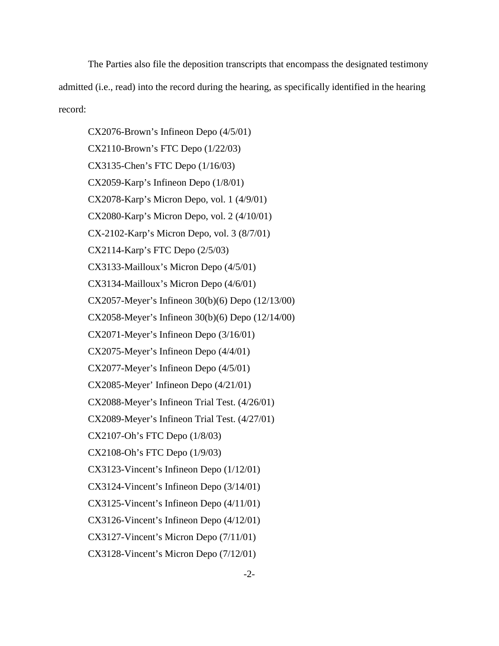The Parties also file the deposition transcripts that encompass the designated testimony admitted (i.e., read) into the record during the hearing, as specifically identified in the hearing record:

CX2076-Brown's Infineon Depo (4/5/01) CX2110-Brown's FTC Depo (1/22/03) CX3135-Chen's FTC Depo (1/16/03) CX2059-Karp's Infineon Depo (1/8/01) CX2078-Karp's Micron Depo, vol. 1 (4/9/01) CX2080-Karp's Micron Depo, vol. 2 (4/10/01) CX-2102-Karp's Micron Depo, vol. 3 (8/7/01) CX2114-Karp's FTC Depo (2/5/03) CX3133-Mailloux's Micron Depo (4/5/01) CX3134-Mailloux's Micron Depo (4/6/01) CX2057-Meyer's Infineon 30(b)(6) Depo (12/13/00) CX2058-Meyer's Infineon 30(b)(6) Depo (12/14/00) CX2071-Meyer's Infineon Depo (3/16/01) CX2075-Meyer's Infineon Depo (4/4/01) CX2077-Meyer's Infineon Depo (4/5/01) CX2085-Meyer' Infineon Depo (4/21/01) CX2088-Meyer's Infineon Trial Test. (4/26/01) CX2089-Meyer's Infineon Trial Test. (4/27/01) CX2107-Oh's FTC Depo (1/8/03) CX2108-Oh's FTC Depo (1/9/03) CX3123-Vincent's Infineon Depo (1/12/01) CX3124-Vincent's Infineon Depo (3/14/01) CX3125-Vincent's Infineon Depo (4/11/01) CX3126-Vincent's Infineon Depo (4/12/01) CX3127-Vincent's Micron Depo (7/11/01) CX3128-Vincent's Micron Depo (7/12/01)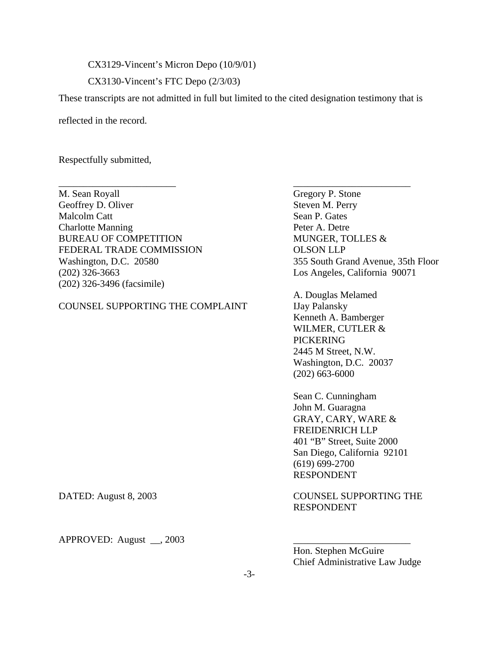CX3129-Vincent's Micron Depo (10/9/01)

CX3130-Vincent's FTC Depo (2/3/03)

These transcripts are not admitted in full but limited to the cited designation testimony that is

\_\_\_\_\_\_\_\_\_\_\_\_\_\_\_\_\_\_\_\_\_\_\_\_ \_\_\_\_\_\_\_\_\_\_\_\_\_\_\_\_\_\_\_\_\_\_\_\_

reflected in the record.

Respectfully submitted,

M. Sean Royall Gregory P. Stone Geoffrey D. Oliver Steven M. Perry Malcolm Catt Sean P. Gates **Charlotte Manning Peter A. Detre** BUREAU OF COMPETITION MUNGER, TOLLES & FEDERAL TRADE COMMISSION OLSON LLP (202) 326-3663 Los Angeles, California 90071 (202) 326-3496 (facsimile)

### COUNSEL SUPPORTING THE COMPLAINT IJay Palansky

Washington, D.C. 20580 355 South Grand Avenue, 35th Floor

A. Douglas Melamed Kenneth A. Bamberger WILMER, CUTLER & PICKERING 2445 M Street, N.W. Washington, D.C. 20037 (202) 663-6000

Sean C. Cunningham John M. Guaragna GRAY, CARY, WARE & FREIDENRICH LLP 401 "B" Street, Suite 2000 San Diego, California 92101 (619) 699-2700 RESPONDENT

DATED: August 8, 2003 COUNSEL SUPPORTING THE RESPONDENT

APPROVED: August  $\_\_$ , 2003

Hon. Stephen McGuire Chief Administrative Law Judge